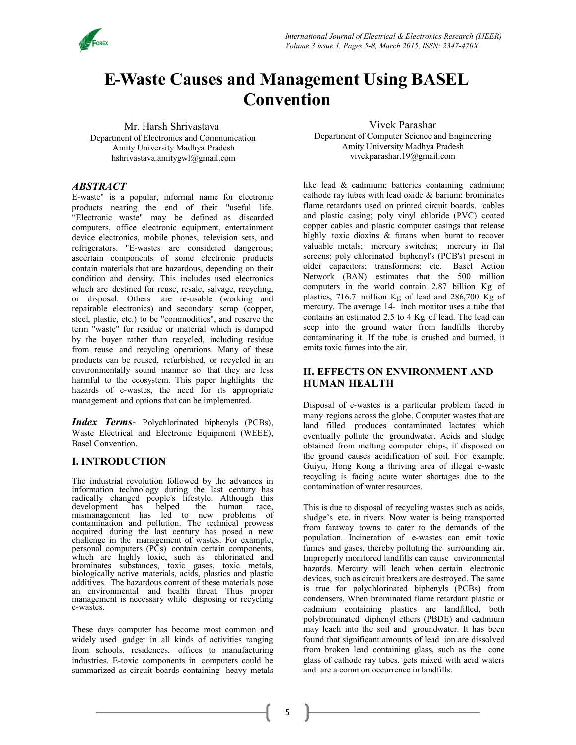

# E-Waste Causes and Management Using BASEL Convention

Mr. Harsh Shrivastava Department of Electronics and Communication Amity University Madhya Pradesh hshrivastava.amitygwl@gmail.com

Vivek Parashar

Department of Computer Science and Engineering Amity University Madhya Pradesh vivekparashar.19@gmail.com

## ABSTRACT

E-waste" is a popular, informal name for electronic products nearing the end of their "useful life. "Electronic waste" may be defined as discarded computers, office electronic equipment, entertainment device electronics, mobile phones, television sets, and refrigerators. "E-wastes are considered dangerous; ascertain components of some electronic products contain materials that are hazardous, depending on their condition and density. This includes used electronics which are destined for reuse, resale, salvage, recycling, or disposal. Others are re-usable (working and repairable electronics) and secondary scrap (copper, steel, plastic, etc.) to be "commodities", and reserve the term "waste" for residue or material which is dumped by the buyer rather than recycled, including residue from reuse and recycling operations. Many of these products can be reused, refurbished, or recycled in an environmentally sound manner so that they are less harmful to the ecosystem. This paper highlights the hazards of e-wastes, the need for its appropriate management and options that can be implemented.

Index Terms- Polychlorinated biphenyls (PCBs), Waste Electrical and Electronic Equipment (WEEE), Basel Convention.

## I. INTRODUCTION

The industrial revolution followed by the advances in information technology during the last century has radically changed people's lifestyle. Although this development has helped the human race, This is due to mismanagement has led to new problems of sludge's etc in river contamination and pollution. The technical prowess  $f_{\text{from forward}}$ acquired during the last century has posed a new challenge in the management of wastes. For example, personal computers (PCs) contain certain components, which are highly toxic, such as chlorinated and Improperly m brominates substances, toxic gases, toxic metals,  $\overrightarrow{h}$  hazards  $\overrightarrow{Me}$ biologically active materials, acids, plastics and plastic distinguishment additives. The hazardous content of these materials pose **contracts**, such an environmental and health threat. Thus proper management is necessary while disposing or recycling e-wastes.

These days computer has become most common and widely used gadget in all kinds of activities ranging from schools, residences, offices to manufacturing industries. E-toxic components in computers could be summarized as circuit boards containing heavy metals

like lead & cadmium; batteries containing cadmium; cathode ray tubes with lead oxide & barium; brominates flame retardants used on printed circuit boards, cables and plastic casing; poly vinyl chloride (PVC) coated copper cables and plastic computer casings that release highly toxic dioxins & furans when burnt to recover valuable metals; mercury switches; mercury in flat screens; poly chlorinated biphenyl's (PCB's) present in older capacitors; transformers; etc. Basel Action Network (BAN) estimates that the 500 million computers in the world contain 2.87 billion Kg of plastics, 716.7 million Kg of lead and 286,700 Kg of mercury. The average 14- inch monitor uses a tube that contains an estimated 2.5 to 4 Kg of lead. The lead can seep into the ground water from landfills thereby contaminating it. If the tube is crushed and burned, it emits toxic fumes into the air.

## II. EFFECTS ON ENVIRONMENT AND HUMAN HEALTH

Disposal of e-wastes is a particular problem faced in many regions across the globe. Computer wastes that are land filled produces contaminated lactates which eventually pollute the groundwater. Acids and sludge obtained from melting computer chips, if disposed on the ground causes acidification of soil. For example, Guiyu, Hong Kong a thriving area of illegal e-waste recycling is facing acute water shortages due to the contamination of water resources.

This is due to disposal of recycling wastes such as acids, sludge's etc. in rivers. Now water is being transported from faraway towns to cater to the demands of the population. Incineration of e-wastes can emit toxic fumes and gases, thereby polluting the surrounding air. Improperly monitored landfills can cause environmental hazards. Mercury will leach when certain electronic devices, such as circuit breakers are destroyed. The same is true for polychlorinated biphenyls (PCBs) from condensers. When brominated flame retardant plastic or cadmium containing plastics are landfilled, both polybrominated diphenyl ethers (PBDE) and cadmium may leach into the soil and groundwater. It has been found that significant amounts of lead ion are dissolved from broken lead containing glass, such as the cone glass of cathode ray tubes, gets mixed with acid waters and are a common occurrence in landfills.

5  $\Box$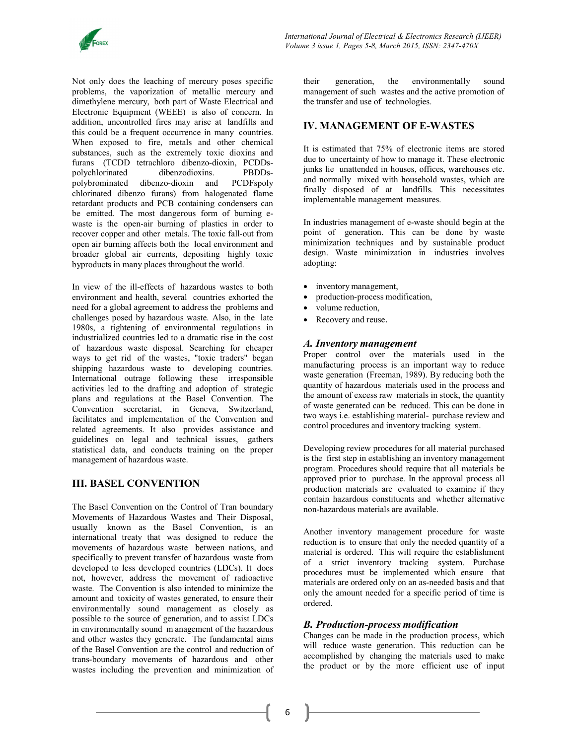

Not only does the leaching of mercury poses specific their generation, problems, the vaporization of metallic mercury and dimethylene mercury, both part of Waste Electrical and Electronic Equipment (WEEE) is also of concern. In addition, uncontrolled fires may arise at landfills and this could be a frequent occurrence in many countries. When exposed to fire, metals and other chemical substances, such as the extremely toxic dioxins and furans (TCDD tetrachloro dibenzo-dioxin, PCDDspolychlorinated dibenzodioxins. PBDDspolybrominated dibenzo-dioxin and PCDFspoly chlorinated dibenzo furans) from halogenated flame retardant products and PCB containing condensers can be emitted. The most dangerous form of burning ewaste is the open-air burning of plastics in order to recover copper and other metals. The toxic fall-out from open air burning affects both the local environment and broader global air currents, depositing highly toxic byproducts in many places throughout the world.

In view of the ill-effects of hazardous wastes to both environment and health, several countries exhorted the need for a global agreement to address the problems and challenges posed by hazardous waste. Also, in the late 1980s, a tightening of environmental regulations in industrialized countries led to a dramatic rise in the cost of hazardous waste disposal. Searching for cheaper ways to get rid of the wastes, "toxic traders" began shipping hazardous waste to developing countries. International outrage following these irresponsible activities led to the drafting and adoption of strategic plans and regulations at the Basel Convention. The Convention secretariat, in Geneva, Switzerland, facilitates and implementation of the Convention and related agreements. It also provides assistance and guidelines on legal and technical issues, gathers statistical data, and conducts training on the proper management of hazardous waste.

## III. BASEL CONVENTION

The Basel Convention on the Control of Tran boundary Movements of Hazardous Wastes and Their Disposal, usually known as the Basel Convention, is an international treaty that was designed to reduce the movements of hazardous waste between nations, and specifically to prevent transfer of hazardous waste from developed to less developed countries (LDCs). It does not, however, address the movement of radioactive waste. The Convention is also intended to minimize the amount and toxicity of wastes generated, to ensure their environmentally sound management as closely as possible to the source of generation, and to assist LDCs in environmentally sound m anagement of the hazardous and other wastes they generate. The fundamental aims of the Basel Convention are the control and reduction of trans-boundary movements of hazardous and other wastes including the prevention and minimization of

the environmentally sound management of such wastes and the active promotion of the transfer and use of technologies.

#### IV. MANAGEMENT OF E-WASTES

It is estimated that 75% of electronic items are stored due to uncertainty of how to manage it. These electronic junks lie unattended in houses, offices, warehouses etc. and normally mixed with household wastes, which are finally disposed of at landfills. This necessitates implementable management measures.

In industries management of e-waste should begin at the point of generation. This can be done by waste minimization techniques and by sustainable product design. Waste minimization in industries involves adopting:

- inventory management,
- production-process modification,
- volume reduction,
- Recovery and reuse.

#### A. Inventory management

Proper control over the materials used in the manufacturing process is an important way to reduce waste generation (Freeman, 1989). By reducing both the quantity of hazardous materials used in the process and the amount of excess raw materials in stock, the quantity of waste generated can be reduced. This can be done in two ways i.e. establishing material- purchase review and control procedures and inventory tracking system.

Developing review procedures for all material purchased is the first step in establishing an inventory management program. Procedures should require that all materials be approved prior to purchase. In the approval process all production materials are evaluated to examine if they contain hazardous constituents and whether alternative non-hazardous materials are available.

Another inventory management procedure for waste reduction is to ensure that only the needed quantity of a material is ordered. This will require the establishment of a strict inventory tracking system. Purchase procedures must be implemented which ensure that materials are ordered only on an as-needed basis and that only the amount needed for a specific period of time is ordered.

#### B. Production-process modification

Changes can be made in the production process, which will reduce waste generation. This reduction can be accomplished by changing the materials used to make the product or by the more efficient use of input

6  $\qquad$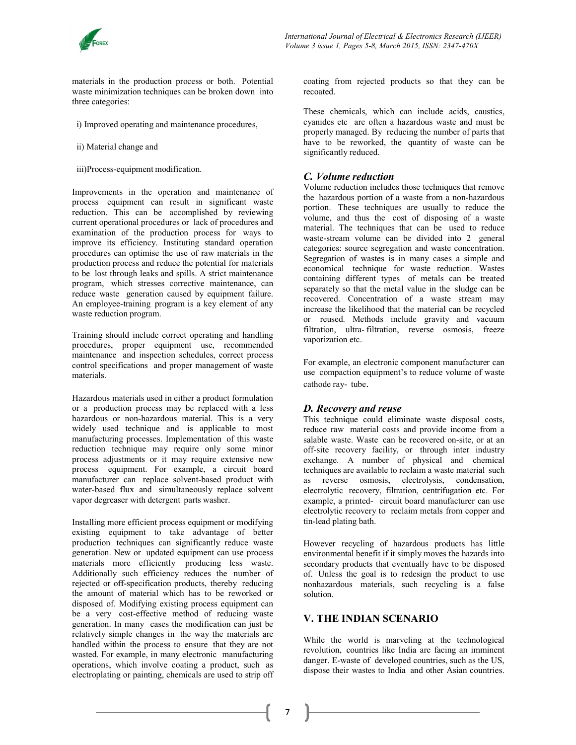

materials in the production process or both. Potential waste minimization techniques can be broken down into three categories:

- i) Improved operating and maintenance procedures,
- ii) Material change and
- iii)Process-equipment modification.

Improvements in the operation and maintenance of process equipment can result in significant waste reduction. This can be accomplished by reviewing current operational procedures or lack of procedures and examination of the production process for ways to improve its efficiency. Instituting standard operation procedures can optimise the use of raw materials in the production process and reduce the potential for materials to be lost through leaks and spills. A strict maintenance program, which stresses corrective maintenance, can reduce waste generation caused by equipment failure. waste reduction program.

Training should include correct operating and handling procedures, proper equipment use, recommended maintenance and inspection schedules, correct process control specifications and proper management of waste materials.

Hazardous materials used in either a product formulation or a production process may be replaced with a less hazardous or non-hazardous material. This is a very widely used technique and is applicable to most manufacturing processes. Implementation of this waste reduction technique may require only some minor process adjustments or it may require extensive new process equipment. For example, a circuit board manufacturer can replace solvent-based product with water-based flux and simultaneously replace solvent vapor degreaser with detergent parts washer.

Installing more efficient process equipment or modifying existing equipment to take advantage of better production techniques can significantly reduce waste generation. New or updated equipment can use process materials more efficiently producing less waste. Additionally such efficiency reduces the number of rejected or off-specification products, thereby reducing the amount of material which has to be reworked or disposed of. Modifying existing process equipment can be a very cost-effective method of reducing waste generation. In many cases the modification can just be relatively simple changes in the way the materials are handled within the process to ensure that they are not wasted. For example, in many electronic manufacturing operations, which involve coating a product, such as electroplating or painting, chemicals are used to strip off

coating from rejected products so that they can be recoated.

These chemicals, which can include acids, caustics, cyanides etc are often a hazardous waste and must be properly managed. By reducing the number of parts that have to be reworked, the quantity of waste can be significantly reduced.

#### C. Volume reduction

An employee-training program is a key element of any<br>increase the likelihood that the material can be recycled Volume reduction includes those techniques that remove the hazardous portion of a waste from a non-hazardous portion. These techniques are usually to reduce the volume, and thus the cost of disposing of a waste material. The techniques that can be used to reduce waste-stream volume can be divided into 2 general categories: source segregation and waste concentration. Segregation of wastes is in many cases a simple and economical technique for waste reduction. Wastes containing different types of metals can be treated separately so that the metal value in the sludge can be recovered. Concentration of a waste stream may or reused. Methods include gravity and vacuum filtration, ultra- filtration, reverse osmosis, freeze vaporization etc.

> For example, an electronic component manufacturer can use compaction equipment's to reduce volume of waste cathode ray- tube.

## D. Recovery and reuse

This technique could eliminate waste disposal costs, reduce raw material costs and provide income from a salable waste. Waste can be recovered on-site, or at an off-site recovery facility, or through inter industry exchange. A number of physical and chemical techniques are available to reclaim a waste material such as reverse osmosis, electrolysis, condensation, electrolytic recovery, filtration, centrifugation etc. For example, a printed- circuit board manufacturer can use electrolytic recovery to reclaim metals from copper and tin-lead plating bath.

However recycling of hazardous products has little environmental benefit if it simply moves the hazards into secondary products that eventually have to be disposed of. Unless the goal is to redesign the product to use nonhazardous materials, such recycling is a false solution.

## V. THE INDIAN SCENARIO

While the world is marveling at the technological revolution, countries like India are facing an imminent danger. E-waste of developed countries, such as the US, dispose their wastes to India and other Asian countries.

7 — —